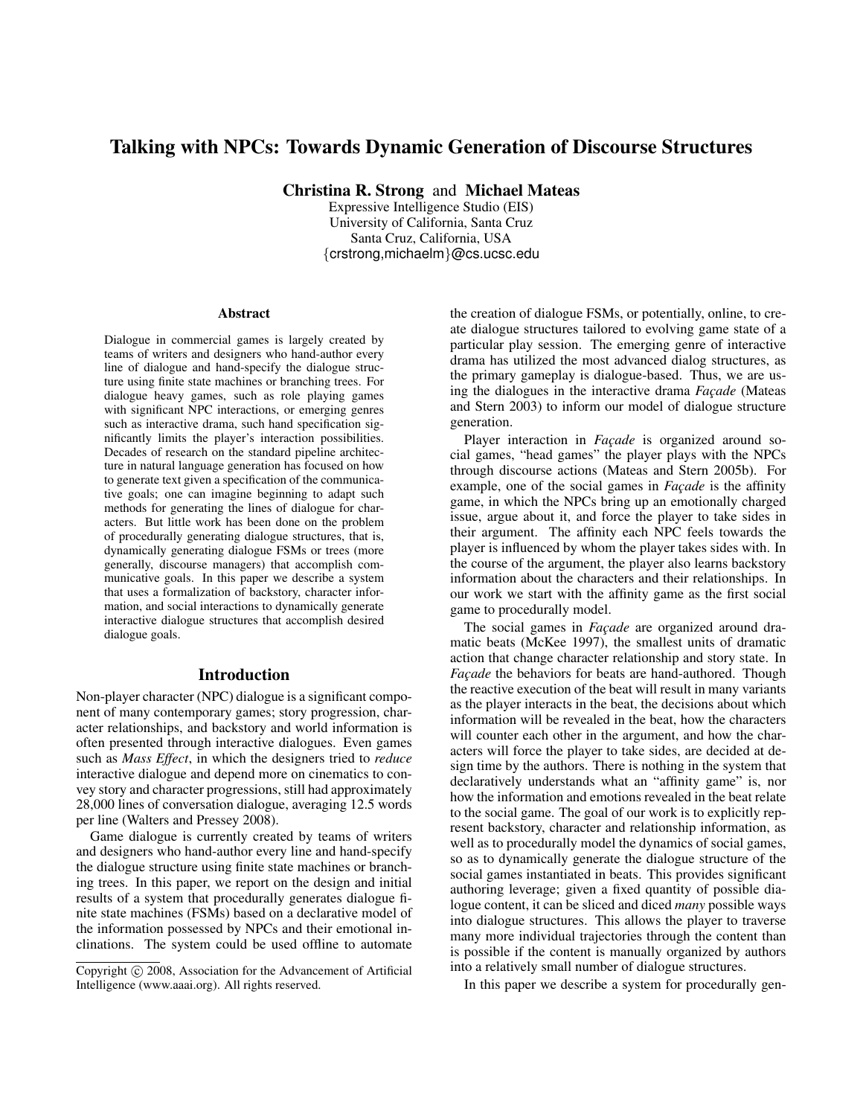# Talking with NPCs: Towards Dynamic Generation of Discourse Structures

Christina R. Strong and Michael Mateas

Expressive Intelligence Studio (EIS) University of California, Santa Cruz Santa Cruz, California, USA {crstrong,michaelm}@cs.ucsc.edu

#### Abstract

Dialogue in commercial games is largely created by teams of writers and designers who hand-author every line of dialogue and hand-specify the dialogue structure using finite state machines or branching trees. For dialogue heavy games, such as role playing games with significant NPC interactions, or emerging genres such as interactive drama, such hand specification significantly limits the player's interaction possibilities. Decades of research on the standard pipeline architecture in natural language generation has focused on how to generate text given a specification of the communicative goals; one can imagine beginning to adapt such methods for generating the lines of dialogue for characters. But little work has been done on the problem of procedurally generating dialogue structures, that is, dynamically generating dialogue FSMs or trees (more generally, discourse managers) that accomplish communicative goals. In this paper we describe a system that uses a formalization of backstory, character information, and social interactions to dynamically generate interactive dialogue structures that accomplish desired dialogue goals.

### Introduction

Non-player character (NPC) dialogue is a significant component of many contemporary games; story progression, character relationships, and backstory and world information is often presented through interactive dialogues. Even games such as *Mass Effect*, in which the designers tried to *reduce* interactive dialogue and depend more on cinematics to convey story and character progressions, still had approximately 28,000 lines of conversation dialogue, averaging 12.5 words per line (Walters and Pressey 2008).

Game dialogue is currently created by teams of writers and designers who hand-author every line and hand-specify the dialogue structure using finite state machines or branching trees. In this paper, we report on the design and initial results of a system that procedurally generates dialogue finite state machines (FSMs) based on a declarative model of the information possessed by NPCs and their emotional inclinations. The system could be used offline to automate

the creation of dialogue FSMs, or potentially, online, to create dialogue structures tailored to evolving game state of a particular play session. The emerging genre of interactive drama has utilized the most advanced dialog structures, as the primary gameplay is dialogue-based. Thus, we are using the dialogues in the interactive drama *Facade* (Mateas and Stern 2003) to inform our model of dialogue structure generation.

Player interaction in *Façade* is organized around social games, "head games" the player plays with the NPCs through discourse actions (Mateas and Stern 2005b). For example, one of the social games in *Facade* is the affinity game, in which the NPCs bring up an emotionally charged issue, argue about it, and force the player to take sides in their argument. The affinity each NPC feels towards the player is influenced by whom the player takes sides with. In the course of the argument, the player also learns backstory information about the characters and their relationships. In our work we start with the affinity game as the first social game to procedurally model.

The social games in *Façade* are organized around dramatic beats (McKee 1997), the smallest units of dramatic action that change character relationship and story state. In *Façade* the behaviors for beats are hand-authored. Though the reactive execution of the beat will result in many variants as the player interacts in the beat, the decisions about which information will be revealed in the beat, how the characters will counter each other in the argument, and how the characters will force the player to take sides, are decided at design time by the authors. There is nothing in the system that declaratively understands what an "affinity game" is, nor how the information and emotions revealed in the beat relate to the social game. The goal of our work is to explicitly represent backstory, character and relationship information, as well as to procedurally model the dynamics of social games, so as to dynamically generate the dialogue structure of the social games instantiated in beats. This provides significant authoring leverage; given a fixed quantity of possible dialogue content, it can be sliced and diced *many* possible ways into dialogue structures. This allows the player to traverse many more individual trajectories through the content than is possible if the content is manually organized by authors into a relatively small number of dialogue structures.

In this paper we describe a system for procedurally gen-

Copyright (c) 2008, Association for the Advancement of Artificial Intelligence (www.aaai.org). All rights reserved.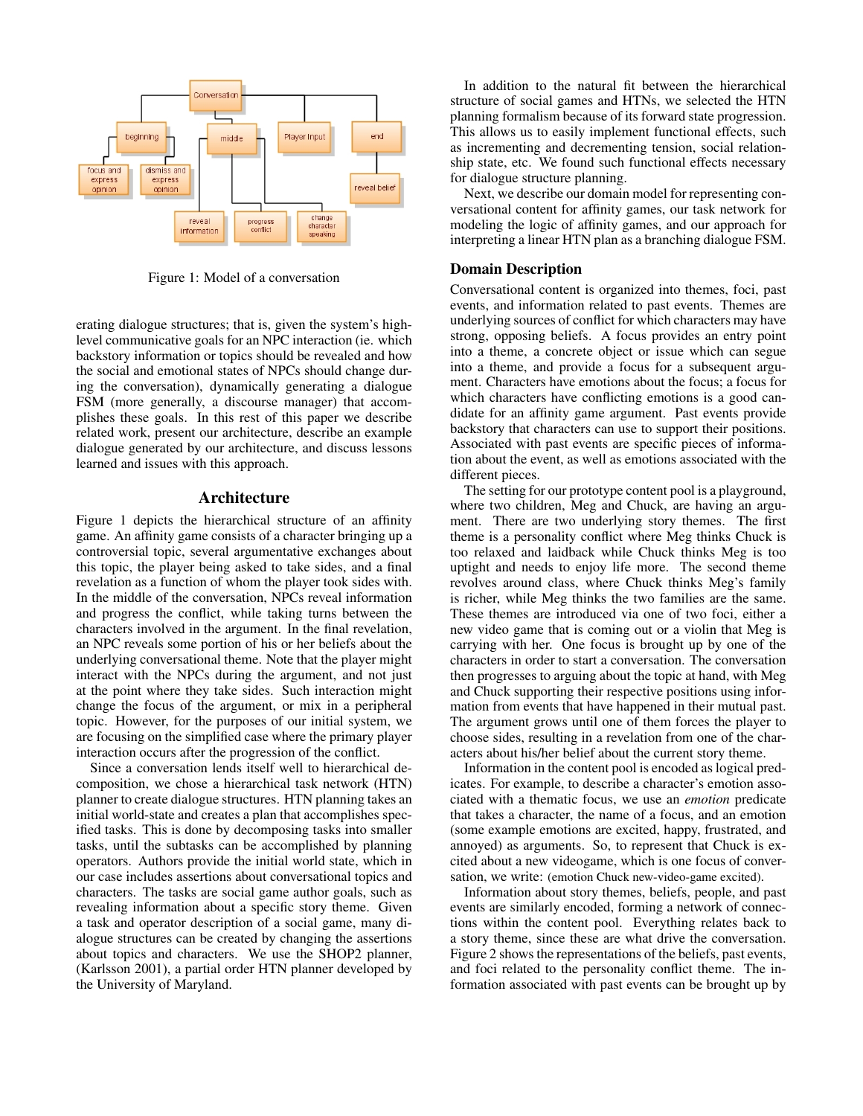

Figure 1: Model of a conversation

erating dialogue structures; that is, given the system's highlevel communicative goals for an NPC interaction (ie. which backstory information or topics should be revealed and how the social and emotional states of NPCs should change during the conversation), dynamically generating a dialogue FSM (more generally, a discourse manager) that accomplishes these goals. In this rest of this paper we describe related work, present our architecture, describe an example dialogue generated by our architecture, and discuss lessons learned and issues with this approach.

## Architecture

Figure 1 depicts the hierarchical structure of an affinity game. An affinity game consists of a character bringing up a controversial topic, several argumentative exchanges about this topic, the player being asked to take sides, and a final revelation as a function of whom the player took sides with. In the middle of the conversation, NPCs reveal information and progress the conflict, while taking turns between the characters involved in the argument. In the final revelation, an NPC reveals some portion of his or her beliefs about the underlying conversational theme. Note that the player might interact with the NPCs during the argument, and not just at the point where they take sides. Such interaction might change the focus of the argument, or mix in a peripheral topic. However, for the purposes of our initial system, we are focusing on the simplified case where the primary player interaction occurs after the progression of the conflict.

Since a conversation lends itself well to hierarchical decomposition, we chose a hierarchical task network (HTN) planner to create dialogue structures. HTN planning takes an initial world-state and creates a plan that accomplishes specified tasks. This is done by decomposing tasks into smaller tasks, until the subtasks can be accomplished by planning operators. Authors provide the initial world state, which in our case includes assertions about conversational topics and characters. The tasks are social game author goals, such as revealing information about a specific story theme. Given a task and operator description of a social game, many dialogue structures can be created by changing the assertions about topics and characters. We use the SHOP2 planner, (Karlsson 2001), a partial order HTN planner developed by the University of Maryland.

In addition to the natural fit between the hierarchical structure of social games and HTNs, we selected the HTN planning formalism because of its forward state progression. This allows us to easily implement functional effects, such as incrementing and decrementing tension, social relationship state, etc. We found such functional effects necessary for dialogue structure planning.

Next, we describe our domain model for representing conversational content for affinity games, our task network for modeling the logic of affinity games, and our approach for interpreting a linear HTN plan as a branching dialogue FSM.

### Domain Description

Conversational content is organized into themes, foci, past events, and information related to past events. Themes are underlying sources of conflict for which characters may have strong, opposing beliefs. A focus provides an entry point into a theme, a concrete object or issue which can segue into a theme, and provide a focus for a subsequent argument. Characters have emotions about the focus; a focus for which characters have conflicting emotions is a good candidate for an affinity game argument. Past events provide backstory that characters can use to support their positions. Associated with past events are specific pieces of information about the event, as well as emotions associated with the different pieces.

The setting for our prototype content pool is a playground, where two children, Meg and Chuck, are having an argument. There are two underlying story themes. The first theme is a personality conflict where Meg thinks Chuck is too relaxed and laidback while Chuck thinks Meg is too uptight and needs to enjoy life more. The second theme revolves around class, where Chuck thinks Meg's family is richer, while Meg thinks the two families are the same. These themes are introduced via one of two foci, either a new video game that is coming out or a violin that Meg is carrying with her. One focus is brought up by one of the characters in order to start a conversation. The conversation then progresses to arguing about the topic at hand, with Meg and Chuck supporting their respective positions using information from events that have happened in their mutual past. The argument grows until one of them forces the player to choose sides, resulting in a revelation from one of the characters about his/her belief about the current story theme.

Information in the content pool is encoded as logical predicates. For example, to describe a character's emotion associated with a thematic focus, we use an *emotion* predicate that takes a character, the name of a focus, and an emotion (some example emotions are excited, happy, frustrated, and annoyed) as arguments. So, to represent that Chuck is excited about a new videogame, which is one focus of conversation, we write: (emotion Chuck new-video-game excited).

Information about story themes, beliefs, people, and past events are similarly encoded, forming a network of connections within the content pool. Everything relates back to a story theme, since these are what drive the conversation. Figure 2 shows the representations of the beliefs, past events, and foci related to the personality conflict theme. The information associated with past events can be brought up by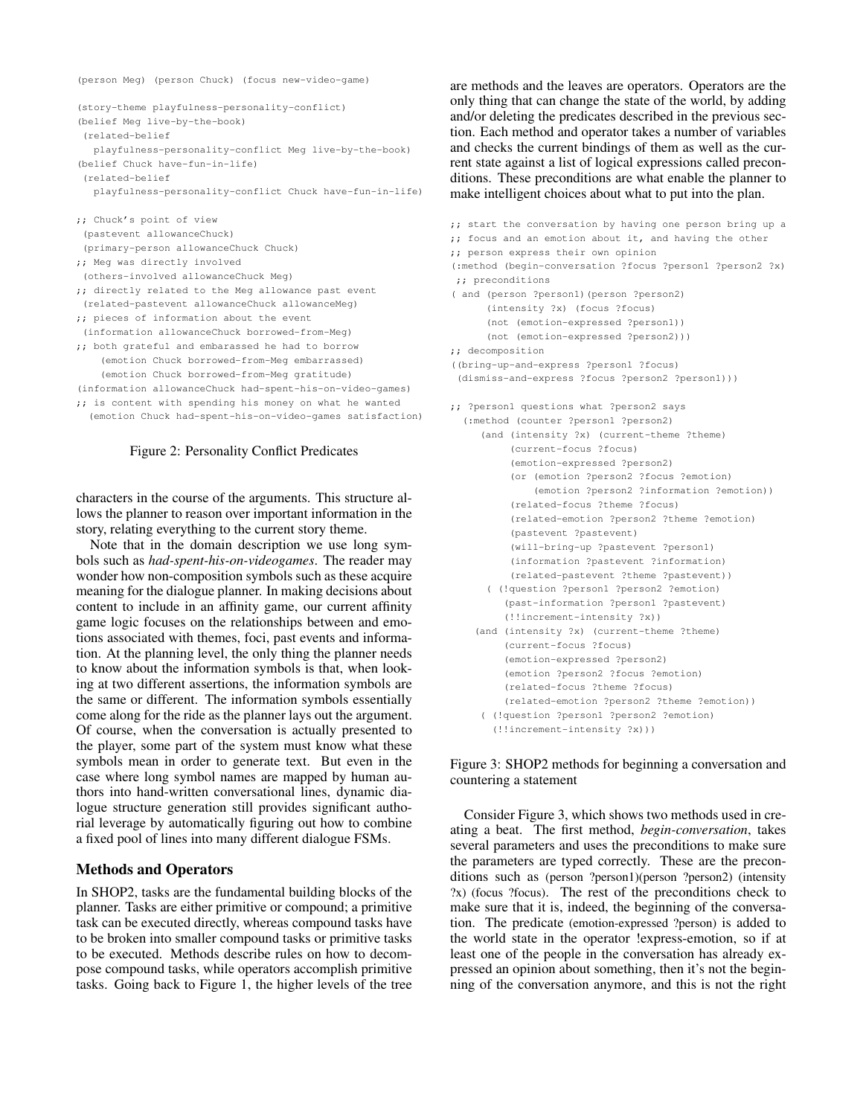(person Meg) (person Chuck) (focus new-video-game)

```
(story-theme playfulness-personality-conflict)
(belief Meg live-by-the-book)
 (related-belief
  playfulness-personality-conflict Meg live-by-the-book)
(belief Chuck have-fun-in-life)
 (related-belief
  playfulness-personality-conflict Chuck have-fun-in-life)
;; Chuck's point of view
 (pastevent allowanceChuck)
 (primary-person allowanceChuck Chuck)
;; Meg was directly involved
 (others-involved allowanceChuck Meg)
;; directly related to the Meg allowance past event
 (related-pastevent allowanceChuck allowanceMeg)
;; pieces of information about the event
 (information allowanceChuck borrowed-from-Meg)
;; both grateful and embarassed he had to borrow
    (emotion Chuck borrowed-from-Meg embarrassed)
    (emotion Chuck borrowed-from-Meg gratitude)
(information allowanceChuck had-spent-his-on-video-games)
;; is content with spending his money on what he wanted
  (emotion Chuck had-spent-his-on-video-games satisfaction)
```
#### Figure 2: Personality Conflict Predicates

characters in the course of the arguments. This structure allows the planner to reason over important information in the story, relating everything to the current story theme.

Note that in the domain description we use long symbols such as *had-spent-his-on-videogames*. The reader may wonder how non-composition symbols such as these acquire meaning for the dialogue planner. In making decisions about content to include in an affinity game, our current affinity game logic focuses on the relationships between and emotions associated with themes, foci, past events and information. At the planning level, the only thing the planner needs to know about the information symbols is that, when looking at two different assertions, the information symbols are the same or different. The information symbols essentially come along for the ride as the planner lays out the argument. Of course, when the conversation is actually presented to the player, some part of the system must know what these symbols mean in order to generate text. But even in the case where long symbol names are mapped by human authors into hand-written conversational lines, dynamic dialogue structure generation still provides significant authorial leverage by automatically figuring out how to combine a fixed pool of lines into many different dialogue FSMs.

#### Methods and Operators

In SHOP2, tasks are the fundamental building blocks of the planner. Tasks are either primitive or compound; a primitive task can be executed directly, whereas compound tasks have to be broken into smaller compound tasks or primitive tasks to be executed. Methods describe rules on how to decompose compound tasks, while operators accomplish primitive tasks. Going back to Figure 1, the higher levels of the tree

are methods and the leaves are operators. Operators are the only thing that can change the state of the world, by adding and/or deleting the predicates described in the previous section. Each method and operator takes a number of variables and checks the current bindings of them as well as the current state against a list of logical expressions called preconditions. These preconditions are what enable the planner to make intelligent choices about what to put into the plan.

;; start the conversation by having one person bring up a ;; focus and an emotion about it, and having the other ;; person express their own opinion (:method (begin-conversation ?focus ?person1 ?person2 ?x) ;; preconditions ( and (person ?person1)(person ?person2) (intensity ?x) (focus ?focus) (not (emotion-expressed ?person1)) (not (emotion-expressed ?person2))) ;; decomposition ((bring-up-and-express ?person1 ?focus) (dismiss-and-express ?focus ?person2 ?person1))) ;; ?person1 questions what ?person2 says (:method (counter ?person1 ?person2) (and (intensity ?x) (current-theme ?theme) (current-focus ?focus) (emotion-expressed ?person2) (or (emotion ?person2 ?focus ?emotion) (emotion ?person2 ?information ?emotion)) (related-focus ?theme ?focus) (related-emotion ?person2 ?theme ?emotion) (pastevent ?pastevent) (will-bring-up ?pastevent ?person1) (information ?pastevent ?information) (related-pastevent ?theme ?pastevent)) ( (!question ?person1 ?person2 ?emotion) (past-information ?person1 ?pastevent) (!!increment-intensity ?x)) (and (intensity ?x) (current-theme ?theme) (current-focus ?focus) (emotion-expressed ?person2) (emotion ?person2 ?focus ?emotion) (related-focus ?theme ?focus) (related-emotion ?person2 ?theme ?emotion)) ( (!question ?person1 ?person2 ?emotion) (!!increment-intensity ?x)))

Figure 3: SHOP2 methods for beginning a conversation and countering a statement

Consider Figure 3, which shows two methods used in creating a beat. The first method, *begin-conversation*, takes several parameters and uses the preconditions to make sure the parameters are typed correctly. These are the preconditions such as (person ?person1)(person ?person2) (intensity ?x) (focus ?focus). The rest of the preconditions check to make sure that it is, indeed, the beginning of the conversation. The predicate (emotion-expressed ?person) is added to the world state in the operator !express-emotion, so if at least one of the people in the conversation has already expressed an opinion about something, then it's not the beginning of the conversation anymore, and this is not the right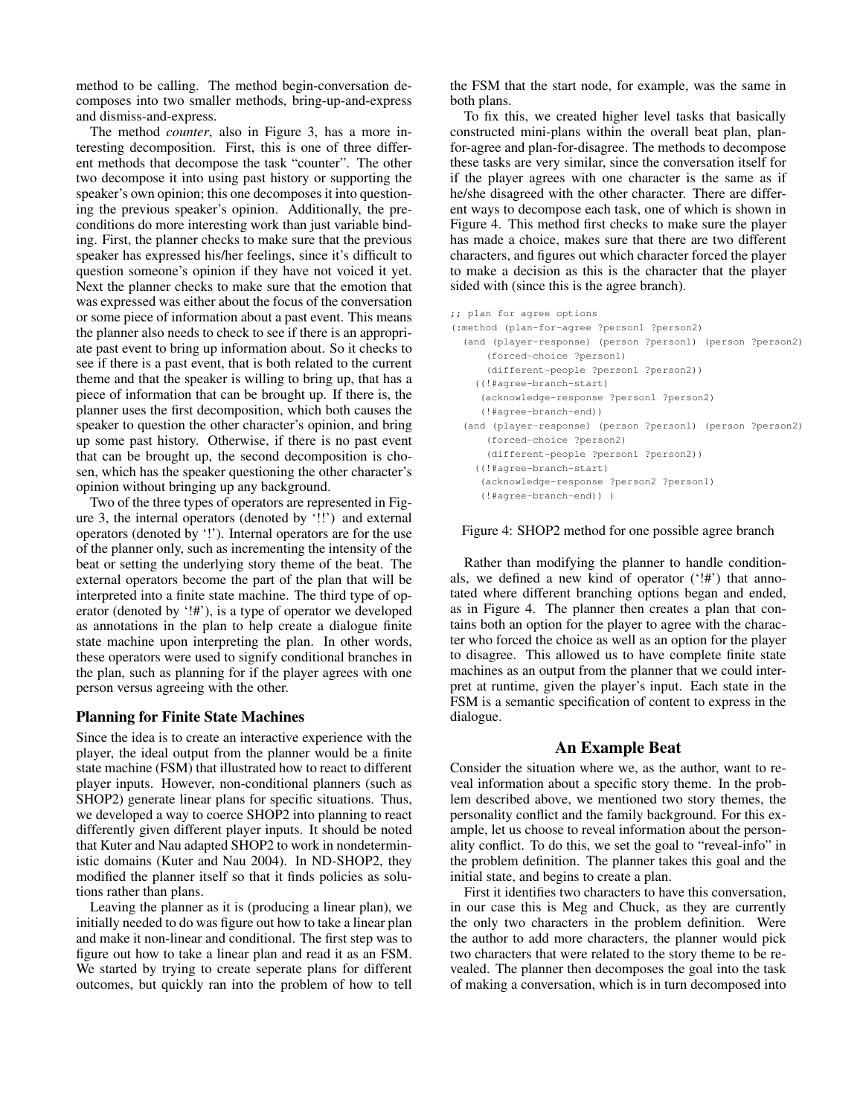method to be calling. The method begin-conversation decomposes into two smaller methods, bring-up-and-express and dismiss-and-express.

The method *counter*, also in Figure 3, has a more interesting decomposition. First, this is one of three different methods that decompose the task "counter". The other two decompose it into using past history or supporting the speaker's own opinion; this one decomposes it into questioning the previous speaker's opinion. Additionally, the preconditions do more interesting work than just variable binding. First, the planner checks to make sure that the previous speaker has expressed his/her feelings, since it's difficult to question someone's opinion if they have not voiced it yet. Next the planner checks to make sure that the emotion that was expressed was either about the focus of the conversation or some piece of information about a past event. This means the planner also needs to check to see if there is an appropriate past event to bring up information about. So it checks to see if there is a past event, that is both related to the current theme and that the speaker is willing to bring up, that has a piece of information that can be brought up. If there is, the planner uses the first decomposition, which both causes the speaker to question the other character's opinion, and bring up some past history. Otherwise, if there is no past event that can be brought up, the second decomposition is chosen, which has the speaker questioning the other character's opinion without bringing up any background.

Two of the three types of operators are represented in Figure 3, the internal operators (denoted by '!!') and external operators (denoted by '!'). Internal operators are for the use of the planner only, such as incrementing the intensity of the beat or setting the underlying story theme of the beat. The external operators become the part of the plan that will be interpreted into a finite state machine. The third type of operator (denoted by '!#'), is a type of operator we developed as annotations in the plan to help create a dialogue finite state machine upon interpreting the plan. In other words, these operators were used to signify conditional branches in the plan, such as planning for if the player agrees with one person versus agreeing with the other.

## Planning for Finite State Machines

Since the idea is to create an interactive experience with the player, the ideal output from the planner would be a finite state machine (FSM) that illustrated how to react to different player inputs. However, non-conditional planners (such as SHOP2) generate linear plans for specific situations. Thus, we developed a way to coerce SHOP2 into planning to react differently given different player inputs. It should be noted that Kuter and Nau adapted SHOP2 to work in nondeterministic domains (Kuter and Nau 2004). In ND-SHOP2, they modified the planner itself so that it finds policies as solutions rather than plans.

Leaving the planner as it is (producing a linear plan), we initially needed to do was figure out how to take a linear plan and make it non-linear and conditional. The first step was to figure out how to take a linear plan and read it as an FSM. We started by trying to create seperate plans for different outcomes, but quickly ran into the problem of how to tell

the FSM that the start node, for example, was the same in both plans.

To fix this, we created higher level tasks that basically constructed mini-plans within the overall beat plan, planfor-agree and plan-for-disagree. The methods to decompose these tasks are very similar, since the conversation itself for if the player agrees with one character is the same as if he/she disagreed with the other character. There are different ways to decompose each task, one of which is shown in Figure 4. This method first checks to make sure the player has made a choice, makes sure that there are two different characters, and figures out which character forced the player to make a decision as this is the character that the player sided with (since this is the agree branch).

| ;; plan for agree options                                  |  |
|------------------------------------------------------------|--|
| (:method (plan-for-agree ?person1 ?person2)                |  |
| (and (player-response) (person ?person1) (person ?person2) |  |
| (forced-choice ?person1)                                   |  |
| (different-people ?person1 ?person2))                      |  |
| ((!#agree-branch-start)                                    |  |
| (acknowledge-response ?person1 ?person2)                   |  |
| (!#agree-branch-end))                                      |  |
| (and (player-response) (person ?person1) (person ?person2) |  |
| (forced-choice ?person2)                                   |  |
| (different-people ?person1 ?person2))                      |  |
| ((!#agree-branch-start)                                    |  |
| (acknowledge-response ?person2 ?person1)                   |  |
| (!#agree-branch-end)) )                                    |  |

#### Figure 4: SHOP2 method for one possible agree branch

Rather than modifying the planner to handle conditionals, we defined a new kind of operator ('!#') that annotated where different branching options began and ended, as in Figure 4. The planner then creates a plan that contains both an option for the player to agree with the character who forced the choice as well as an option for the player to disagree. This allowed us to have complete finite state machines as an output from the planner that we could interpret at runtime, given the player's input. Each state in the FSM is a semantic specification of content to express in the dialogue.

# An Example Beat

Consider the situation where we, as the author, want to reveal information about a specific story theme. In the problem described above, we mentioned two story themes, the personality conflict and the family background. For this example, let us choose to reveal information about the personality conflict. To do this, we set the goal to "reveal-info" in the problem definition. The planner takes this goal and the initial state, and begins to create a plan.

First it identifies two characters to have this conversation, in our case this is Meg and Chuck, as they are currently the only two characters in the problem definition. Were the author to add more characters, the planner would pick two characters that were related to the story theme to be revealed. The planner then decomposes the goal into the task of making a conversation, which is in turn decomposed into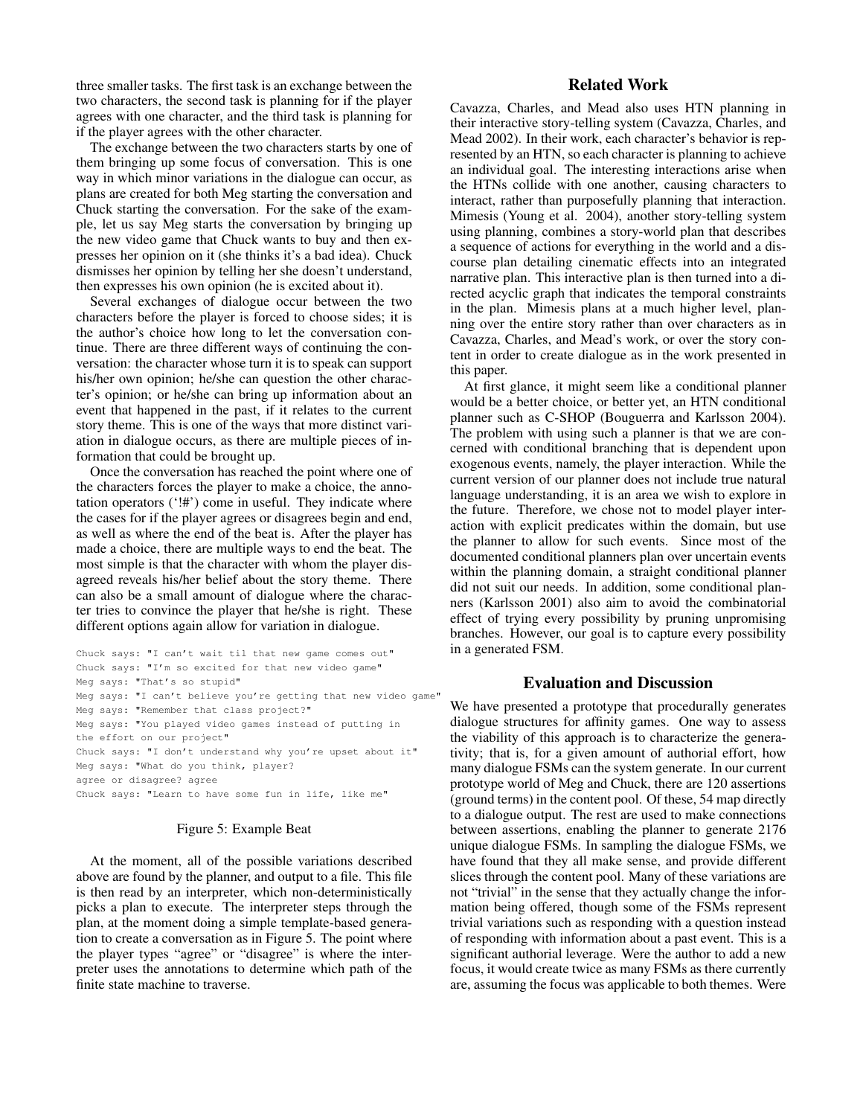three smaller tasks. The first task is an exchange between the two characters, the second task is planning for if the player agrees with one character, and the third task is planning for if the player agrees with the other character.

The exchange between the two characters starts by one of them bringing up some focus of conversation. This is one way in which minor variations in the dialogue can occur, as plans are created for both Meg starting the conversation and Chuck starting the conversation. For the sake of the example, let us say Meg starts the conversation by bringing up the new video game that Chuck wants to buy and then expresses her opinion on it (she thinks it's a bad idea). Chuck dismisses her opinion by telling her she doesn't understand, then expresses his own opinion (he is excited about it).

Several exchanges of dialogue occur between the two characters before the player is forced to choose sides; it is the author's choice how long to let the conversation continue. There are three different ways of continuing the conversation: the character whose turn it is to speak can support his/her own opinion; he/she can question the other character's opinion; or he/she can bring up information about an event that happened in the past, if it relates to the current story theme. This is one of the ways that more distinct variation in dialogue occurs, as there are multiple pieces of information that could be brought up.

Once the conversation has reached the point where one of the characters forces the player to make a choice, the annotation operators ('!#') come in useful. They indicate where the cases for if the player agrees or disagrees begin and end, as well as where the end of the beat is. After the player has made a choice, there are multiple ways to end the beat. The most simple is that the character with whom the player disagreed reveals his/her belief about the story theme. There can also be a small amount of dialogue where the character tries to convince the player that he/she is right. These different options again allow for variation in dialogue.

```
Chuck says: "I can't wait til that new game comes out"
Chuck says: "I'm so excited for that new video game"
Meg says: "That's so stupid"
Meg says: "I can't believe you're getting that new video game
Meg says: "Remember that class project?"
Meg says: "You played video games instead of putting in
the effort on our project"
Chuck says: "I don't understand why you're upset about it"
Meg says: "What do you think, player?
agree or disagree? agree
Chuck says: "Learn to have some fun in life, like me"
```
### Figure 5: Example Beat

At the moment, all of the possible variations described above are found by the planner, and output to a file. This file is then read by an interpreter, which non-deterministically picks a plan to execute. The interpreter steps through the plan, at the moment doing a simple template-based generation to create a conversation as in Figure 5. The point where the player types "agree" or "disagree" is where the interpreter uses the annotations to determine which path of the finite state machine to traverse.

# Related Work

Cavazza, Charles, and Mead also uses HTN planning in their interactive story-telling system (Cavazza, Charles, and Mead 2002). In their work, each character's behavior is represented by an HTN, so each character is planning to achieve an individual goal. The interesting interactions arise when the HTNs collide with one another, causing characters to interact, rather than purposefully planning that interaction. Mimesis (Young et al. 2004), another story-telling system using planning, combines a story-world plan that describes a sequence of actions for everything in the world and a discourse plan detailing cinematic effects into an integrated narrative plan. This interactive plan is then turned into a directed acyclic graph that indicates the temporal constraints in the plan. Mimesis plans at a much higher level, planning over the entire story rather than over characters as in Cavazza, Charles, and Mead's work, or over the story content in order to create dialogue as in the work presented in this paper.

At first glance, it might seem like a conditional planner would be a better choice, or better yet, an HTN conditional planner such as C-SHOP (Bouguerra and Karlsson 2004). The problem with using such a planner is that we are concerned with conditional branching that is dependent upon exogenous events, namely, the player interaction. While the current version of our planner does not include true natural language understanding, it is an area we wish to explore in the future. Therefore, we chose not to model player interaction with explicit predicates within the domain, but use the planner to allow for such events. Since most of the documented conditional planners plan over uncertain events within the planning domain, a straight conditional planner did not suit our needs. In addition, some conditional planners (Karlsson 2001) also aim to avoid the combinatorial effect of trying every possibility by pruning unpromising branches. However, our goal is to capture every possibility in a generated FSM.

## Evaluation and Discussion

We have presented a prototype that procedurally generates dialogue structures for affinity games. One way to assess the viability of this approach is to characterize the generativity; that is, for a given amount of authorial effort, how many dialogue FSMs can the system generate. In our current prototype world of Meg and Chuck, there are 120 assertions (ground terms) in the content pool. Of these, 54 map directly to a dialogue output. The rest are used to make connections between assertions, enabling the planner to generate 2176 unique dialogue FSMs. In sampling the dialogue FSMs, we have found that they all make sense, and provide different slices through the content pool. Many of these variations are not "trivial" in the sense that they actually change the information being offered, though some of the FSMs represent trivial variations such as responding with a question instead of responding with information about a past event. This is a significant authorial leverage. Were the author to add a new focus, it would create twice as many FSMs as there currently are, assuming the focus was applicable to both themes. Were